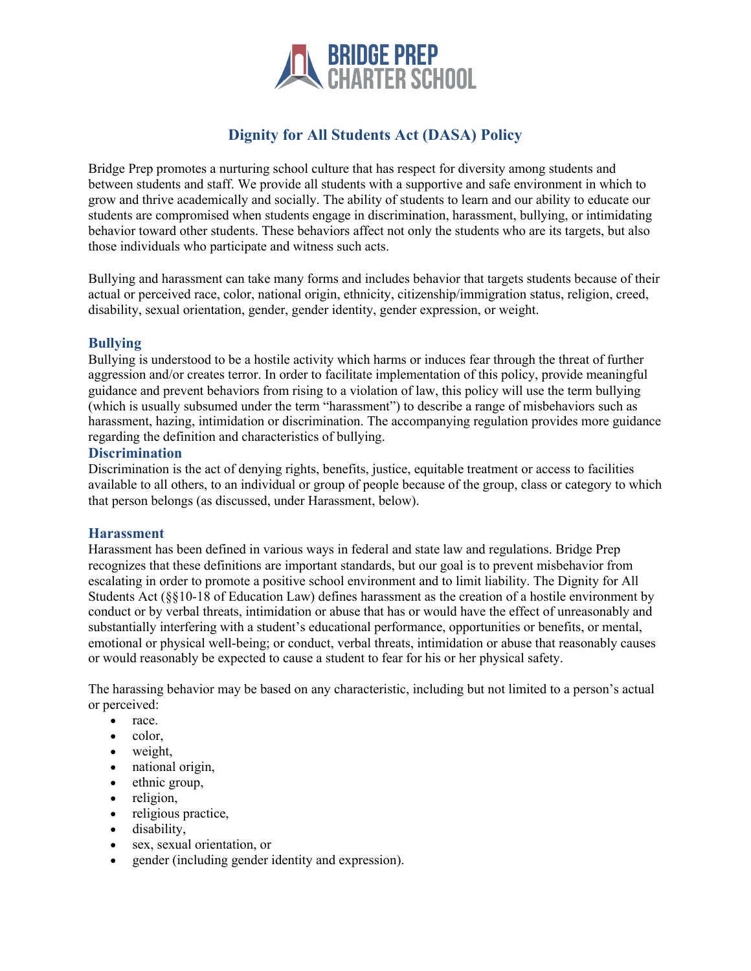

# **Dignity for All Students Act (DASA) Policy**

Bridge Prep promotes a nurturing school culture that has respect for diversity among students and between students and staff. We provide all students with a supportive and safe environment in which to grow and thrive academically and socially. The ability of students to learn and our ability to educate our students are compromised when students engage in discrimination, harassment, bullying, or intimidating behavior toward other students. These behaviors affect not only the students who are its targets, but also those individuals who participate and witness such acts.

Bullying and harassment can take many forms and includes behavior that targets students because of their actual or perceived race, color, national origin, ethnicity, citizenship/immigration status, religion, creed, disability, sexual orientation, gender, gender identity, gender expression, or weight.

# **Bullying**

Bullying is understood to be a hostile activity which harms or induces fear through the threat of further aggression and/or creates terror. In order to facilitate implementation of this policy, provide meaningful guidance and prevent behaviors from rising to a violation of law, this policy will use the term bullying (which is usually subsumed under the term "harassment") to describe a range of misbehaviors such as harassment, hazing, intimidation or discrimination. The accompanying regulation provides more guidance regarding the definition and characteristics of bullying.

# **Discrimination**

Discrimination is the act of denying rights, benefits, justice, equitable treatment or access to facilities available to all others, to an individual or group of people because of the group, class or category to which that person belongs (as discussed, under Harassment, below).

# **Harassment**

Harassment has been defined in various ways in federal and state law and regulations. Bridge Prep recognizes that these definitions are important standards, but our goal is to prevent misbehavior from escalating in order to promote a positive school environment and to limit liability. The Dignity for All Students Act (§§10-18 of Education Law) defines harassment as the creation of a hostile environment by conduct or by verbal threats, intimidation or abuse that has or would have the effect of unreasonably and substantially interfering with a student's educational performance, opportunities or benefits, or mental, emotional or physical well-being; or conduct, verbal threats, intimidation or abuse that reasonably causes or would reasonably be expected to cause a student to fear for his or her physical safety.

The harassing behavior may be based on any characteristic, including but not limited to a person's actual or perceived:

- race.
- color,
- weight,
- national origin,
- ethnic group,
- religion,
- religious practice,
- disability,
- sex, sexual orientation, or
- gender (including gender identity and expression).